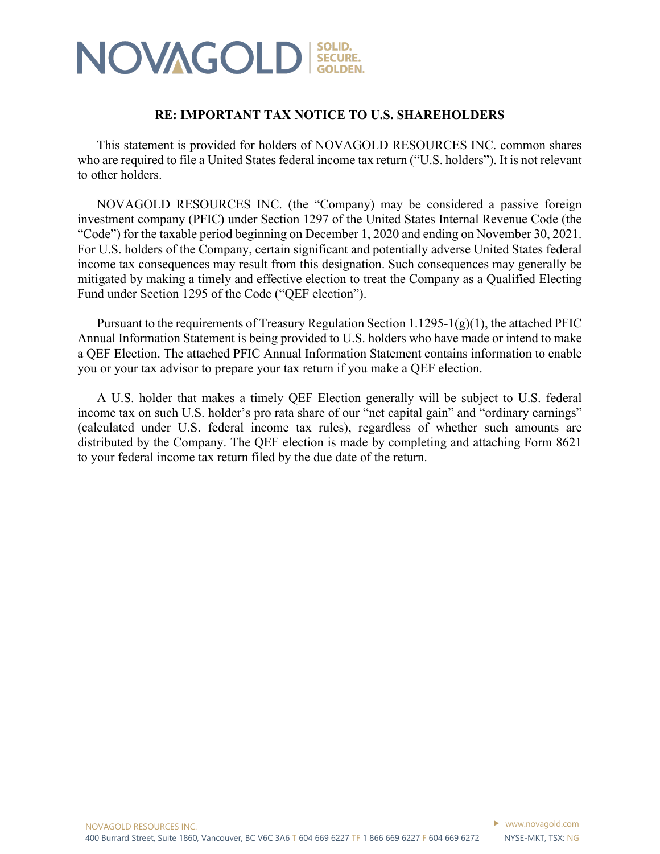## **NOVAGOLD** SECURE.

## **RE: IMPORTANT TAX NOTICE TO U.S. SHAREHOLDERS**

This statement is provided for holders of NOVAGOLD RESOURCES INC. common shares who are required to file a United States federal income tax return ("U.S. holders"). It is not relevant to other holders.

NOVAGOLD RESOURCES INC. (the "Company) may be considered a passive foreign investment company (PFIC) under Section 1297 of the United States Internal Revenue Code (the "Code") for the taxable period beginning on December 1, 2020 and ending on November 30, 2021. For U.S. holders of the Company, certain significant and potentially adverse United States federal income tax consequences may result from this designation. Such consequences may generally be mitigated by making a timely and effective election to treat the Company as a Qualified Electing Fund under Section 1295 of the Code ("QEF election").

Pursuant to the requirements of Treasury Regulation Section 1.1295-1(g)(1), the attached PFIC Annual Information Statement is being provided to U.S. holders who have made or intend to make a QEF Election. The attached PFIC Annual Information Statement contains information to enable you or your tax advisor to prepare your tax return if you make a QEF election.

A U.S. holder that makes a timely QEF Election generally will be subject to U.S. federal income tax on such U.S. holder's pro rata share of our "net capital gain" and "ordinary earnings" (calculated under U.S. federal income tax rules), regardless of whether such amounts are distributed by the Company. The QEF election is made by completing and attaching Form 8621 to your federal income tax return filed by the due date of the return.

 www.novagold.com NYSE-MKT, TSX: NG